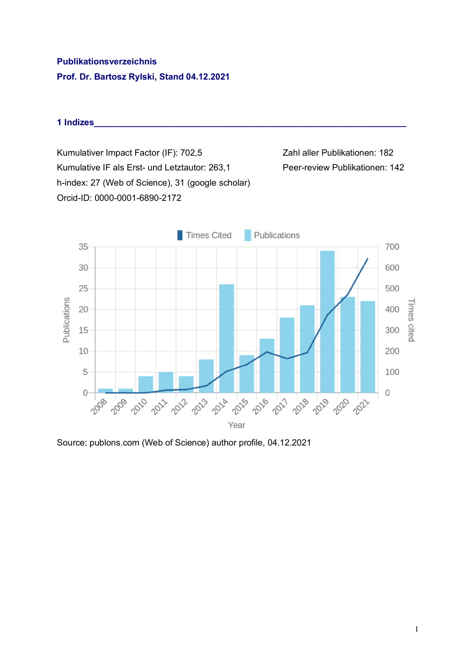# **Publikationsverzeichnis Prof. Dr. Bartosz Rylski, Stand 04.12.2021**

#### **1 Indizes\_\_\_\_\_\_\_\_\_\_\_\_\_\_\_\_\_\_\_\_\_\_\_\_\_\_\_\_\_\_\_\_\_\_\_\_\_\_\_\_\_\_\_\_\_\_\_\_\_\_\_\_\_\_\_\_\_\_\_\_\_\_\_\_**

Kumulativer Impact Factor (IF): 702,5 Zahl aller Publikationen: 182 Kumulative IF als Erst- und Letztautor: 263,1 Peer-review Publikationen: 142 h-index: 27 (Web of Science), 31 (google scholar) Orcid-ID: 0000-0001-6890-2172



Source: publons.com (Web of Science) author profile, 04.12.2021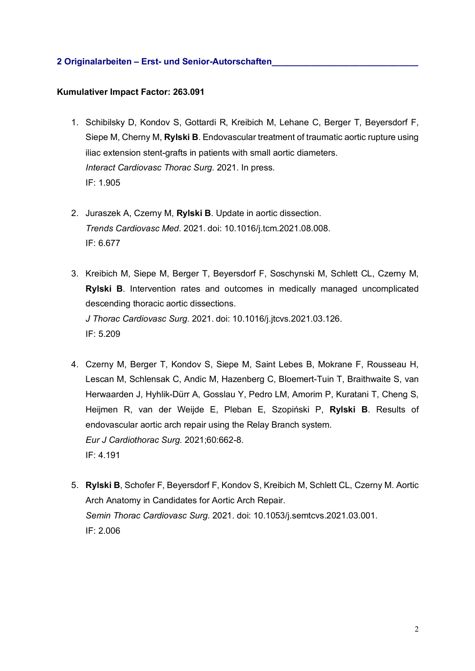# **2 Originalarbeiten – Erst- und Senior-Autorschaften\_\_\_\_\_\_\_\_\_\_\_\_\_\_\_\_\_\_\_\_\_\_\_\_\_\_\_\_\_\_**

## **Kumulativer Impact Factor: 263.091**

- 1. Schibilsky D, Kondov S, Gottardi R, Kreibich M, Lehane C, Berger T, Beyersdorf F, Siepe M, Cherny M, **Rylski B**. Endovascular treatment of traumatic aortic rupture using iliac extension stent-grafts in patients with small aortic diameters. *Interact Cardiovasc Thorac Surg*. 2021. In press. IF: 1.905
- 2. Juraszek A, Czerny M, **Rylski B**. Update in aortic dissection. *Trends Cardiovasc Med*. 2021. doi: 10.1016/j.tcm.2021.08.008. IF: 6.677
- 3. Kreibich M, Siepe M, Berger T, Beyersdorf F, Soschynski M, Schlett CL, Czerny M, **Rylski B**. Intervention rates and outcomes in medically managed uncomplicated descending thoracic aortic dissections. *J Thorac Cardiovasc Surg*. 2021. doi: 10.1016/j.jtcvs.2021.03.126. IF: 5.209
- 4. Czerny M, Berger T, Kondov S, Siepe M, Saint Lebes B, Mokrane F, Rousseau H, Lescan M, Schlensak C, Andic M, Hazenberg C, Bloemert-Tuin T, Braithwaite S, van Herwaarden J, Hyhlik-Dürr A, Gosslau Y, Pedro LM, Amorim P, Kuratani T, Cheng S, Heijmen R, van der Weijde E, Pleban E, Szopiński P, **Rylski B**. Results of endovascular aortic arch repair using the Relay Branch system. *Eur J Cardiothorac Surg.* 2021;60:662-8. IF: 4.191
- 5. **Rylski B**, Schofer F, Beyersdorf F, Kondov S, Kreibich M, Schlett CL, Czerny M. Aortic Arch Anatomy in Candidates for Aortic Arch Repair. *Semin Thorac Cardiovasc Surg*. 2021. doi: 10.1053/j.semtcvs.2021.03.001. IF: 2.006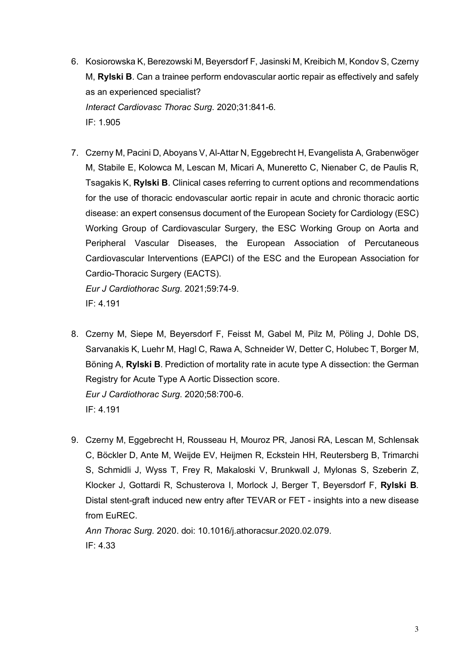- 6. Kosiorowska K, Berezowski M, Beyersdorf F, Jasinski M, Kreibich M, Kondov S, Czerny M, **Rylski B**. Can a trainee perform endovascular aortic repair as effectively and safely as an experienced specialist? *Interact Cardiovasc Thorac Surg*. 2020;31:841-6. IF: 1.905
- 7. Czerny M, Pacini D, Aboyans V, Al-Attar N, Eggebrecht H, Evangelista A, Grabenwöger M, Stabile E, Kolowca M, Lescan M, Micari A, Muneretto C, Nienaber C, de Paulis R, Tsagakis K, **Rylski B**. Clinical cases referring to current options and recommendations for the use of thoracic endovascular aortic repair in acute and chronic thoracic aortic disease: an expert consensus document of the European Society for Cardiology (ESC) Working Group of Cardiovascular Surgery, the ESC Working Group on Aorta and Peripheral Vascular Diseases, the European Association of Percutaneous Cardiovascular Interventions (EAPCI) of the ESC and the European Association for Cardio-Thoracic Surgery (EACTS).

*Eur J Cardiothorac Surg*. 2021;59:74-9. IF: 4.191

- 8. Czerny M, Siepe M, Beyersdorf F, Feisst M, Gabel M, Pilz M, Pöling J, Dohle DS, Sarvanakis K, Luehr M, Hagl C, Rawa A, Schneider W, Detter C, Holubec T, Borger M, Böning A, **Rylski B**. Prediction of mortality rate in acute type A dissection: the German Registry for Acute Type A Aortic Dissection score. *Eur J Cardiothorac Surg*. 2020;58:700-6. IF: 4.191
- 9. Czerny M, Eggebrecht H, Rousseau H, Mouroz PR, Janosi RA, Lescan M, Schlensak C, Böckler D, Ante M, Weijde EV, Heijmen R, Eckstein HH, Reutersberg B, Trimarchi S, Schmidli J, Wyss T, Frey R, Makaloski V, Brunkwall J, Mylonas S, Szeberin Z, Klocker J, Gottardi R, Schusterova I, Morlock J, Berger T, Beyersdorf F, **Rylski B**. Distal stent-graft induced new entry after TEVAR or FET - insights into a new disease from EuREC.

*Ann Thorac Surg.* 2020. doi: 10.1016/j.athoracsur.2020.02.079. IF: 4.33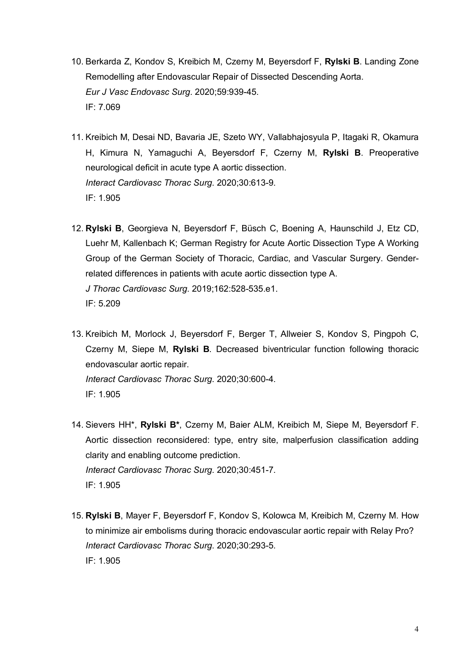- 10. Berkarda Z, Kondov S, Kreibich M, Czerny M, Beyersdorf F, **Rylski B**. Landing Zone Remodelling after Endovascular Repair of Dissected Descending Aorta. *Eur J Vasc Endovasc Surg*. 2020;59:939-45. IF: 7.069
- 11. Kreibich M, Desai ND, Bavaria JE, Szeto WY, Vallabhajosyula P, Itagaki R, Okamura H, Kimura N, Yamaguchi A, Beyersdorf F, Czerny M, **Rylski B**. Preoperative neurological deficit in acute type A aortic dissection. *Interact Cardiovasc Thorac Surg*. 2020;30:613-9. IF: 1.905
- 12. **Rylski B**, Georgieva N, Beyersdorf F, Büsch C, Boening A, Haunschild J, Etz CD, Luehr M, Kallenbach K; German Registry for Acute Aortic Dissection Type A Working Group of the German Society of Thoracic, Cardiac, and Vascular Surgery. Genderrelated differences in patients with acute aortic dissection type A. *J Thorac Cardiovasc Surg*. 2019;162:528-535.e1. IF: 5.209
- 13. Kreibich M, Morlock J, Beyersdorf F, Berger T, Allweier S, Kondov S, Pingpoh C, Czerny M, Siepe M, **Rylski B**. Decreased biventricular function following thoracic endovascular aortic repair. *Interact Cardiovasc Thorac Surg*. 2020;30:600-4. IF: 1.905
- 14. Sievers HH\*, **Rylski B\***, Czerny M, Baier ALM, Kreibich M, Siepe M, Beyersdorf F. Aortic dissection reconsidered: type, entry site, malperfusion classification adding clarity and enabling outcome prediction. *Interact Cardiovasc Thorac Surg*. 2020;30:451-7. IF: 1.905
- 15. **Rylski B**, Mayer F, Beyersdorf F, Kondov S, Kolowca M, Kreibich M, Czerny M. How to minimize air embolisms during thoracic endovascular aortic repair with Relay Pro? *Interact Cardiovasc Thorac Surg*. 2020;30:293-5. IF: 1.905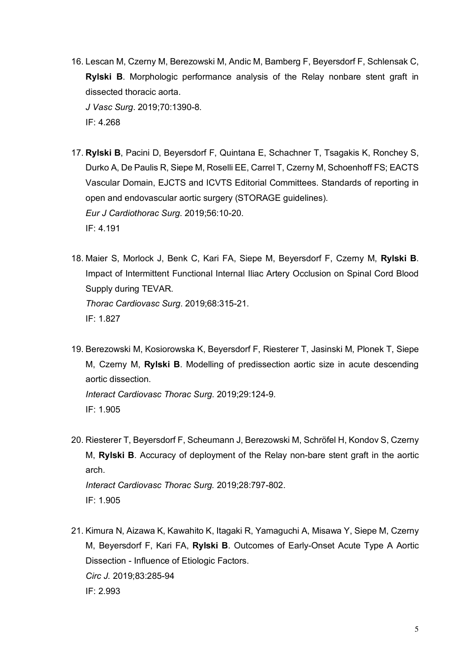16. Lescan M, Czerny M, Berezowski M, Andic M, Bamberg F, Beyersdorf F, Schlensak C, **Rylski B**. Morphologic performance analysis of the Relay nonbare stent graft in dissected thoracic aorta.

*J Vasc Surg*. 2019;70:1390-8.

IF: 4.268

- 17. **Rylski B**, Pacini D, Beyersdorf F, Quintana E, Schachner T, Tsagakis K, Ronchey S, Durko A, De Paulis R, Siepe M, Roselli EE, Carrel T, Czerny M, Schoenhoff FS; EACTS Vascular Domain, EJCTS and ICVTS Editorial Committees. Standards of reporting in open and endovascular aortic surgery (STORAGE guidelines). *Eur J Cardiothorac Surg*. 2019;56:10-20. IF: 4.191
- 18. Maier S, Morlock J, Benk C, Kari FA, Siepe M, Beyersdorf F, Czerny M, **Rylski B**. Impact of Intermittent Functional Internal Iliac Artery Occlusion on Spinal Cord Blood Supply during TEVAR. *Thorac Cardiovasc Surg*. 2019;68:315-21. IF: 1.827
- 19. Berezowski M, Kosiorowska K, Beyersdorf F, Riesterer T, Jasinski M, Plonek T, Siepe M, Czerny M, **Rylski B**. Modelling of predissection aortic size in acute descending aortic dissection. *Interact Cardiovasc Thorac Surg*. 2019;29:124-9.

IF: 1.905

20. Riesterer T, Beyersdorf F, Scheumann J, Berezowski M, Schröfel H, Kondov S, Czerny M, **Rylski B**. Accuracy of deployment of the Relay non-bare stent graft in the aortic arch.

*Interact Cardiovasc Thorac Surg.* 2019;28:797-802. IF: 1.905

21. Kimura N, Aizawa K, Kawahito K, Itagaki R, Yamaguchi A, Misawa Y, Siepe M, Czerny M, Beyersdorf F, Kari FA, **Rylski B**. Outcomes of Early-Onset Acute Type A Aortic Dissection - Influence of Etiologic Factors. *Circ J.* 2019;83:285-94 IF: 2.993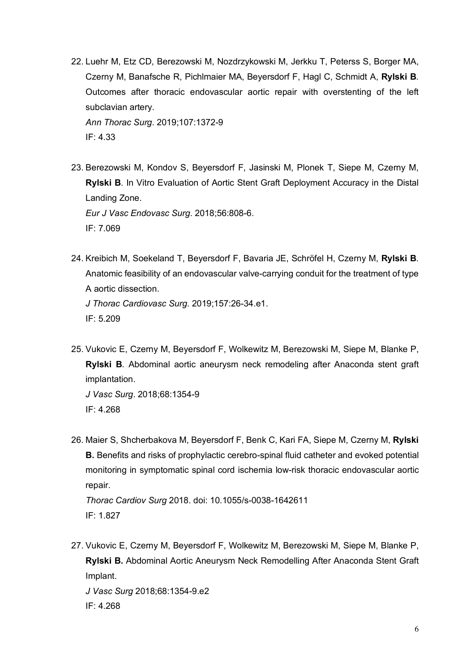22. Luehr M, Etz CD, Berezowski M, Nozdrzykowski M, Jerkku T, Peterss S, Borger MA, Czerny M, Banafsche R, Pichlmaier MA, Beyersdorf F, Hagl C, Schmidt A, **Rylski B**. Outcomes after thoracic endovascular aortic repair with overstenting of the left subclavian artery.

*Ann Thorac Surg*. 2019;107:1372-9 IF: 4.33

23. Berezowski M, Kondov S, Beyersdorf F, Jasinski M, Plonek T, Siepe M, Czerny M, **Rylski B**. In Vitro Evaluation of Aortic Stent Graft Deployment Accuracy in the Distal Landing Zone.

*Eur J Vasc Endovasc Surg*. 2018;56:808-6. IF: 7.069

24. Kreibich M, Soekeland T, Beyersdorf F, Bavaria JE, Schröfel H, Czerny M, **Rylski B**. Anatomic feasibility of an endovascular valve-carrying conduit for the treatment of type A aortic dissection. *J Thorac Cardiovasc Surg*. 2019;157:26-34.e1.

IF: 5.209

25. Vukovic E, Czerny M, Beyersdorf F, Wolkewitz M, Berezowski M, Siepe M, Blanke P, **Rylski B**. Abdominal aortic aneurysm neck remodeling after Anaconda stent graft implantation.

*J Vasc Surg*. 2018;68:1354-9 IF: 4.268

26. Maier S, Shcherbakova M, Beyersdorf F, Benk C, Kari FA, Siepe M, Czerny M, **Rylski B.** Benefits and risks of prophylactic cerebro-spinal fluid catheter and evoked potential monitoring in symptomatic spinal cord ischemia low-risk thoracic endovascular aortic repair.

*Thorac Cardiov Surg* 2018. doi: 10.1055/s-0038-1642611 IF: 1.827

27. Vukovic E, Czerny M, Beyersdorf F, Wolkewitz M, Berezowski M, Siepe M, Blanke P, **Rylski B.** Abdominal Aortic Aneurysm Neck Remodelling After Anaconda Stent Graft Implant.

*J Vasc Surg* 2018;68:1354-9.e2

IF: 4.268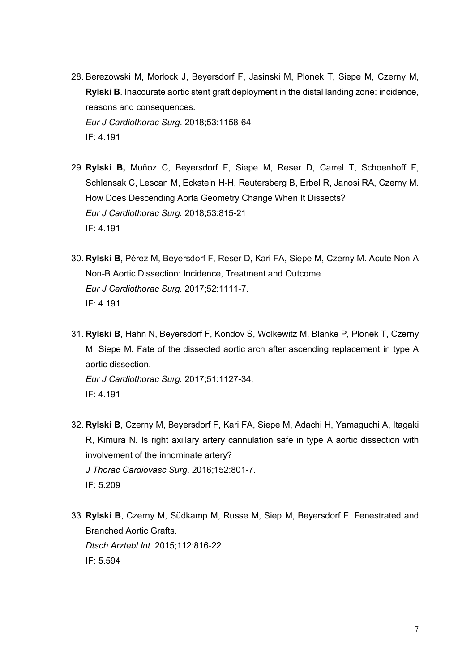- 28. Berezowski M, Morlock J, Beyersdorf F, Jasinski M, Plonek T, Siepe M, Czerny M, **Rylski B**. Inaccurate aortic stent graft deployment in the distal landing zone: incidence, reasons and consequences. *Eur J Cardiothorac Surg*. 2018;53:1158-64 IF: 4.191
- 29. **Rylski B,** Muñoz C, Beyersdorf F, Siepe M, Reser D, Carrel T, Schoenhoff F, Schlensak C, Lescan M, Eckstein H-H, Reutersberg B, Erbel R, Janosi RA, Czerny M. How Does Descending Aorta Geometry Change When It Dissects? *Eur J Cardiothorac Surg.* 2018;53:815-21 IF: 4.191
- 30. **Rylski B,** Pérez M, Beyersdorf F, Reser D, Kari FA, Siepe M, Czerny M. Acute Non-A Non-B Aortic Dissection: Incidence, Treatment and Outcome. *Eur J Cardiothorac Surg.* 2017;52:1111-7. IF: 4.191
- 31. **Rylski B**, Hahn N, Beyersdorf F, Kondov S, Wolkewitz M, Blanke P, Plonek T, Czerny M, Siepe M. Fate of the dissected aortic arch after ascending replacement in type A aortic dissection.

*Eur J Cardiothorac Surg.* 2017;51:1127-34. IF: 4.191

- 32. **Rylski B**, Czerny M, Beyersdorf F, Kari FA, Siepe M, Adachi H, Yamaguchi A, Itagaki R, Kimura N. Is right axillary artery cannulation safe in type A aortic dissection with involvement of the innominate artery? *J Thorac Cardiovasc Surg*. 2016;152:801-7. IF: 5.209
- 33. **Rylski B**, Czerny M, Südkamp M, Russe M, Siep M, Beyersdorf F. Fenestrated and Branched Aortic Grafts. *Dtsch Arztebl Int.* 2015;112:816-22. IF: 5.594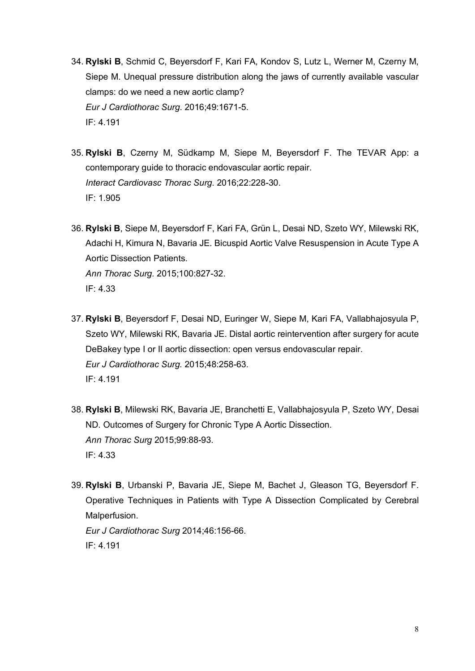- 34. **Rylski B**, Schmid C, Beyersdorf F, Kari FA, Kondov S, Lutz L, Werner M, Czerny M, Siepe M. Unequal pressure distribution along the jaws of currently available vascular clamps: do we need a new aortic clamp? *Eur J Cardiothorac Surg*. 2016;49:1671-5. IF: 4.191
- 35. **Rylski B**, Czerny M, Südkamp M, Siepe M, Beyersdorf F. The TEVAR App: a contemporary guide to thoracic endovascular aortic repair. *Interact Cardiovasc Thorac Surg*. 2016;22:228-30. IF: 1.905
- 36. **Rylski B**, Siepe M, Beyersdorf F, Kari FA, Grün L, Desai ND, Szeto WY, Milewski RK, Adachi H, Kimura N, Bavaria JE. Bicuspid Aortic Valve Resuspension in Acute Type A Aortic Dissection Patients. *Ann Thorac Surg.* 2015;100:827-32. IF: 4.33
- 37. **Rylski B**, Beyersdorf F, Desai ND, Euringer W, Siepe M, Kari FA, Vallabhajosyula P, Szeto WY, Milewski RK, Bavaria JE. Distal aortic reintervention after surgery for acute DeBakey type I or II aortic dissection: open versus endovascular repair. *Eur J Cardiothorac Surg.* 2015;48:258-63. IF: 4.191
- 38. **Rylski B**, Milewski RK, Bavaria JE, Branchetti E, Vallabhajosyula P, Szeto WY, Desai ND. Outcomes of Surgery for Chronic Type A Aortic Dissection. *Ann Thorac Surg* 2015;99:88-93. IF: 4.33
- 39. **Rylski B**, Urbanski P, Bavaria JE, Siepe M, Bachet J, Gleason TG, Beyersdorf F. Operative Techniques in Patients with Type A Dissection Complicated by Cerebral Malperfusion. *Eur J Cardiothorac Surg* 2014;46:156-66. IF: 4.191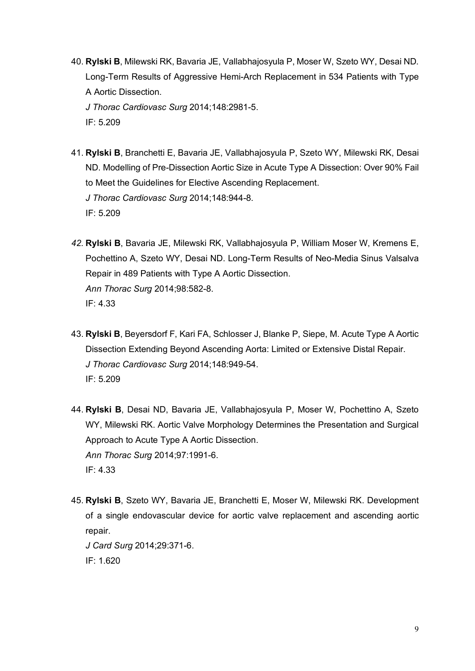40. **Rylski B**, Milewski RK, Bavaria JE, Vallabhajosyula P, Moser W, Szeto WY, Desai ND. Long-Term Results of Aggressive Hemi-Arch Replacement in 534 Patients with Type A Aortic Dissection.

*J Thorac Cardiovasc Surg* 2014;148:2981-5.

IF: 5.209

- 41. **Rylski B**, Branchetti E, Bavaria JE, Vallabhajosyula P, Szeto WY, Milewski RK, Desai ND. Modelling of Pre-Dissection Aortic Size in Acute Type A Dissection: Over 90% Fail to Meet the Guidelines for Elective Ascending Replacement. *J Thorac Cardiovasc Surg* 2014;148:944-8. IF: 5.209
- *42.* **Rylski B**, Bavaria JE, Milewski RK, Vallabhajosyula P, William Moser W, Kremens E, Pochettino A, Szeto WY, Desai ND. Long-Term Results of Neo-Media Sinus Valsalva Repair in 489 Patients with Type A Aortic Dissection. *Ann Thorac Surg* 2014;98:582-8. IF: 4.33
- 43. **Rylski B**, Beyersdorf F, Kari FA, Schlosser J, Blanke P, Siepe, M. Acute Type A Aortic Dissection Extending Beyond Ascending Aorta: Limited or Extensive Distal Repair. *J Thorac Cardiovasc Surg* 2014;148:949-54. IF: 5.209
- 44. **Rylski B**, Desai ND, Bavaria JE, Vallabhajosyula P, Moser W, Pochettino A, Szeto WY, Milewski RK. Aortic Valve Morphology Determines the Presentation and Surgical Approach to Acute Type A Aortic Dissection. *Ann Thorac Surg* 2014;97:1991-6. IF: 4.33
- 45. **Rylski B**, Szeto WY, Bavaria JE, Branchetti E, Moser W, Milewski RK. Development of a single endovascular device for aortic valve replacement and ascending aortic repair. *J Card Surg* 2014;29:371-6.

IF: 1.620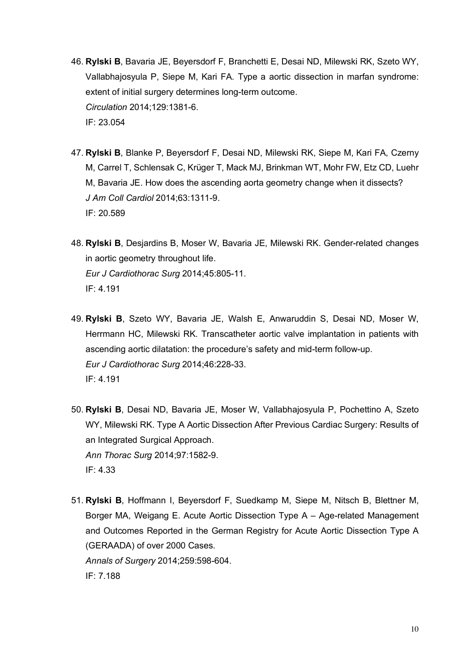- 46. **Rylski B**, Bavaria JE, Beyersdorf F, Branchetti E, Desai ND, Milewski RK, Szeto WY, Vallabhajosyula P, Siepe M, Kari FA. Type a aortic dissection in marfan syndrome: extent of initial surgery determines long-term outcome. *Circulation* 2014;129:1381-6. IF: 23.054
- 47. **Rylski B**, Blanke P, Beyersdorf F, Desai ND, Milewski RK, Siepe M, Kari FA, Czerny M, Carrel T, Schlensak C, Krüger T, Mack MJ, Brinkman WT, Mohr FW, Etz CD, Luehr M, Bavaria JE. How does the ascending aorta geometry change when it dissects? *J Am Coll Cardiol* 2014;63:1311-9. IF: 20.589
- 48. **Rylski B**, Desjardins B, Moser W, Bavaria JE, Milewski RK. Gender-related changes in aortic geometry throughout life. *Eur J Cardiothorac Surg* 2014;45:805-11. IF: 4.191
- 49. **Rylski B**, Szeto WY, Bavaria JE, Walsh E, Anwaruddin S, Desai ND, Moser W, Herrmann HC, Milewski RK. Transcatheter aortic valve implantation in patients with ascending aortic dilatation: the procedure's safety and mid-term follow-up. *Eur J Cardiothorac Surg* 2014;46:228-33. IF: 4.191
- 50. **Rylski B**, Desai ND, Bavaria JE, Moser W, Vallabhajosyula P, Pochettino A, Szeto WY, Milewski RK. Type A Aortic Dissection After Previous Cardiac Surgery: Results of an Integrated Surgical Approach. *Ann Thorac Surg* 2014;97:1582-9. IF: 4.33
- 51. **Rylski B**, Hoffmann I, Beyersdorf F, Suedkamp M, Siepe M, Nitsch B, Blettner M, Borger MA, Weigang E. Acute Aortic Dissection Type A – Age-related Management and Outcomes Reported in the German Registry for Acute Aortic Dissection Type A (GERAADA) of over 2000 Cases. *Annals of Surgery* 2014;259:598-604. IF: 7.188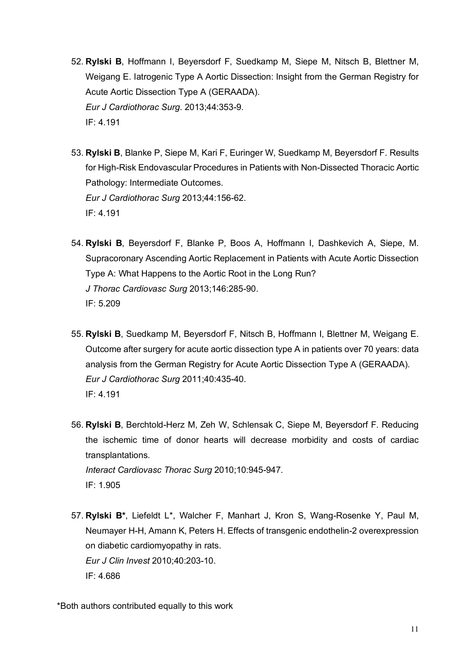- 52. **Rylski B**, Hoffmann I, Beyersdorf F, Suedkamp M, Siepe M, Nitsch B, Blettner M, Weigang E. Iatrogenic Type A Aortic Dissection: Insight from the German Registry for Acute Aortic Dissection Type A (GERAADA). *Eur J Cardiothorac Surg*. 2013;44:353-9. IF: 4.191
- 53. **Rylski B**, Blanke P, Siepe M, Kari F, Euringer W, Suedkamp M, Beyersdorf F. Results for High-Risk Endovascular Procedures in Patients with Non-Dissected Thoracic Aortic Pathology: Intermediate Outcomes. *Eur J Cardiothorac Surg* 2013;44:156-62. IF: 4.191
- 54. **Rylski B**, Beyersdorf F, Blanke P, Boos A, Hoffmann I, Dashkevich A, Siepe, M. Supracoronary Ascending Aortic Replacement in Patients with Acute Aortic Dissection Type A: What Happens to the Aortic Root in the Long Run? *J Thorac Cardiovasc Surg* 2013;146:285-90. IF: 5.209
- 55. **Rylski B**, Suedkamp M, Beyersdorf F, Nitsch B, Hoffmann I, Blettner M, Weigang E. Outcome after surgery for acute aortic dissection type A in patients over 70 years: data analysis from the German Registry for Acute Aortic Dissection Type A (GERAADA). *Eur J Cardiothorac Surg* 2011;40:435-40. IF: 4.191
- 56. **Rylski B**, Berchtold-Herz M, Zeh W, Schlensak C, Siepe M, Beyersdorf F. Reducing the ischemic time of donor hearts will decrease morbidity and costs of cardiac transplantations. *Interact Cardiovasc Thorac Surg* 2010;10:945-947.

IF: 1.905

57. **Rylski B\***, Liefeldt L\*, Walcher F, Manhart J, Kron S, Wang-Rosenke Y, Paul M, Neumayer H-H, Amann K, Peters H. Effects of transgenic endothelin-2 overexpression on diabetic cardiomyopathy in rats. *Eur J Clin Invest* 2010;40:203-10. IF: 4.686

\*Both authors contributed equally to this work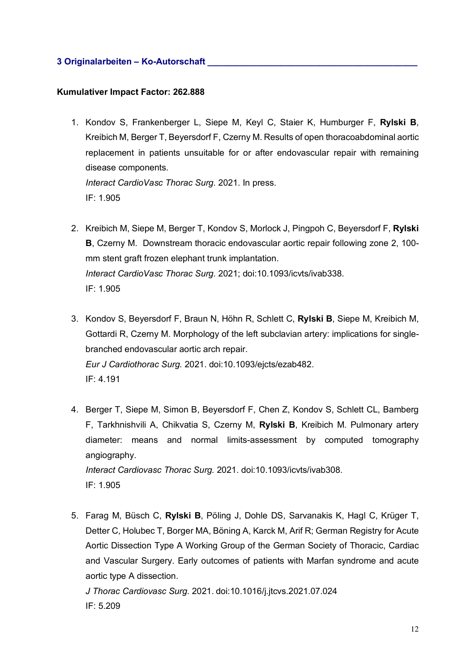# **3 Originalarbeiten – Ko-Autorschaft \_\_\_\_\_\_\_\_\_\_\_\_\_\_\_\_\_\_\_\_\_\_\_\_\_\_\_\_\_\_\_\_\_\_\_\_\_\_\_\_\_\_\_**

#### **Kumulativer Impact Factor: 262.888**

- 1. Kondov S, Frankenberger L, Siepe M, Keyl C, Staier K, Humburger F, **Rylski B**, Kreibich M, Berger T, Beyersdorf F, Czerny M. Results of open thoracoabdominal aortic replacement in patients unsuitable for or after endovascular repair with remaining disease components. *Interact CardioVasc Thorac Surg.* 2021. In press. IF: 1.905
- 2. Kreibich M, Siepe M, Berger T, Kondov S, Morlock J, Pingpoh C, Beyersdorf F, **Rylski B**, Czerny M. Downstream thoracic endovascular aortic repair following zone 2, 100 mm stent graft frozen elephant trunk implantation. *Interact CardioVasc Thorac Surg.* 2021; doi:10.1093/icvts/ivab338. IF: 1.905
- 3. Kondov S, Beyersdorf F, Braun N, Höhn R, Schlett C, **Rylski B**, Siepe M, Kreibich M, Gottardi R, Czerny M. Morphology of the left subclavian artery: implications for singlebranched endovascular aortic arch repair. *Eur J Cardiothorac Surg.* 2021. doi:10.1093/ejcts/ezab482. IF: 4.191
- 4. Berger T, Siepe M, Simon B, Beyersdorf F, Chen Z, Kondov S, Schlett CL, Bamberg F, Tarkhnishvili A, Chikvatia S, Czerny M, **Rylski B**, Kreibich M. Pulmonary artery diameter: means and normal limits-assessment by computed tomography angiography. *Interact Cardiovasc Thorac Surg.* 2021. doi:10.1093/icvts/ivab308.

IF: 1.905

5. Farag M, Büsch C, **Rylski B**, Pöling J, Dohle DS, Sarvanakis K, Hagl C, Krüger T, Detter C, Holubec T, Borger MA, Böning A, Karck M, Arif R; German Registry for Acute Aortic Dissection Type A Working Group of the German Society of Thoracic, Cardiac and Vascular Surgery. Early outcomes of patients with Marfan syndrome and acute aortic type A dissection.

*J Thorac Cardiovasc Surg*. 2021. doi:10.1016/j.jtcvs.2021.07.024 IF: 5.209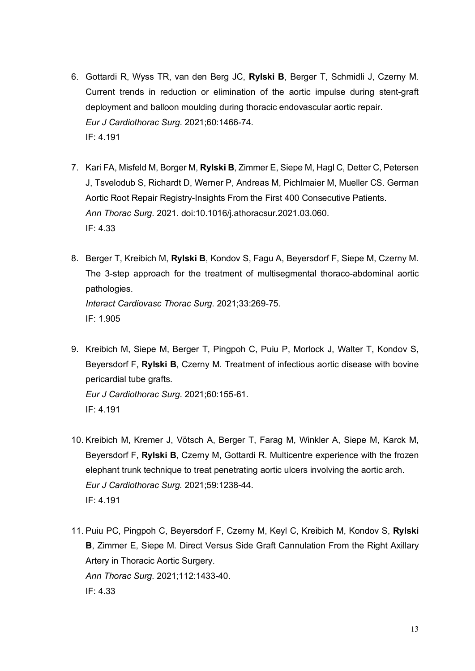- 6. Gottardi R, Wyss TR, van den Berg JC, **Rylski B**, Berger T, Schmidli J, Czerny M. Current trends in reduction or elimination of the aortic impulse during stent-graft deployment and balloon moulding during thoracic endovascular aortic repair. *Eur J Cardiothorac Surg*. 2021;60:1466-74. IF: 4.191
- 7. Kari FA, Misfeld M, Borger M, **Rylski B**, Zimmer E, Siepe M, Hagl C, Detter C, Petersen J, Tsvelodub S, Richardt D, Werner P, Andreas M, Pichlmaier M, Mueller CS. German Aortic Root Repair Registry-Insights From the First 400 Consecutive Patients. *Ann Thorac Surg.* 2021. doi:10.1016/j.athoracsur.2021.03.060. IF: 4.33
- 8. Berger T, Kreibich M, **Rylski B**, Kondov S, Fagu A, Beyersdorf F, Siepe M, Czerny M. The 3-step approach for the treatment of multisegmental thoraco-abdominal aortic pathologies. *Interact Cardiovasc Thorac Surg*. 2021;33:269-75. IF: 1.905
- 9. Kreibich M, Siepe M, Berger T, Pingpoh C, Puiu P, Morlock J, Walter T, Kondov S, Beyersdorf F, **Rylski B**, Czerny M. Treatment of infectious aortic disease with bovine pericardial tube grafts. *Eur J Cardiothorac Surg*. 2021;60:155-61. IF: 4.191
- 10. Kreibich M, Kremer J, Vötsch A, Berger T, Farag M, Winkler A, Siepe M, Karck M, Beyersdorf F, **Rylski B**, Czerny M, Gottardi R. Multicentre experience with the frozen elephant trunk technique to treat penetrating aortic ulcers involving the aortic arch. *Eur J Cardiothorac Surg.* 2021;59:1238-44. IF: 4.191
- 11. Puiu PC, Pingpoh C, Beyersdorf F, Czerny M, Keyl C, Kreibich M, Kondov S, **Rylski B**, Zimmer E, Siepe M. Direct Versus Side Graft Cannulation From the Right Axillary Artery in Thoracic Aortic Surgery. *Ann Thorac Surg.* 2021;112:1433-40. IF: 4.33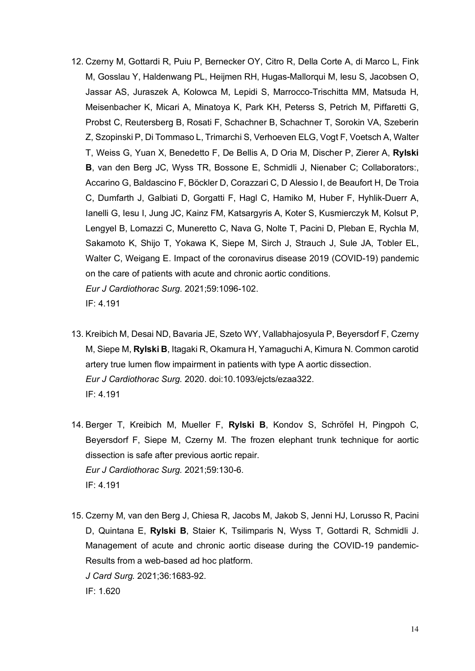- 12. Czerny M, Gottardi R, Puiu P, Bernecker OY, Citro R, Della Corte A, di Marco L, Fink M, Gosslau Y, Haldenwang PL, Heijmen RH, Hugas-Mallorqui M, Iesu S, Jacobsen O, Jassar AS, Juraszek A, Kolowca M, Lepidi S, Marrocco-Trischitta MM, Matsuda H, Meisenbacher K, Micari A, Minatoya K, Park KH, Peterss S, Petrich M, Piffaretti G, Probst C, Reutersberg B, Rosati F, Schachner B, Schachner T, Sorokin VA, Szeberin Z, Szopinski P, Di Tommaso L, Trimarchi S, Verhoeven ELG, Vogt F, Voetsch A, Walter T, Weiss G, Yuan X, Benedetto F, De Bellis A, D Oria M, Discher P, Zierer A, **Rylski B**, van den Berg JC, Wyss TR, Bossone E, Schmidli J, Nienaber C; Collaborators:, Accarino G, Baldascino F, Böckler D, Corazzari C, D Alessio I, de Beaufort H, De Troia C, Dumfarth J, Galbiati D, Gorgatti F, Hagl C, Hamiko M, Huber F, Hyhlik-Duerr A, Ianelli G, Iesu I, Jung JC, Kainz FM, Katsargyris A, Koter S, Kusmierczyk M, Kolsut P, Lengyel B, Lomazzi C, Muneretto C, Nava G, Nolte T, Pacini D, Pleban E, Rychla M, Sakamoto K, Shijo T, Yokawa K, Siepe M, Sirch J, Strauch J, Sule JA, Tobler EL, Walter C, Weigang E. Impact of the coronavirus disease 2019 (COVID-19) pandemic on the care of patients with acute and chronic aortic conditions. *Eur J Cardiothorac Surg*. 2021;59:1096-102. IF: 4.191
- 13. Kreibich M, Desai ND, Bavaria JE, Szeto WY, Vallabhajosyula P, Beyersdorf F, Czerny M, Siepe M, **Rylski B**, Itagaki R, Okamura H, Yamaguchi A, Kimura N. Common carotid artery true lumen flow impairment in patients with type A aortic dissection. *Eur J Cardiothorac Surg.* 2020. doi:10.1093/ejcts/ezaa322. IF: 4.191
- 14. Berger T, Kreibich M, Mueller F, **Rylski B**, Kondov S, Schröfel H, Pingpoh C, Beyersdorf F, Siepe M, Czerny M. The frozen elephant trunk technique for aortic dissection is safe after previous aortic repair. *Eur J Cardiothorac Surg.* 2021;59:130-6. IF: 4.191
- 15. Czerny M, van den Berg J, Chiesa R, Jacobs M, Jakob S, Jenni HJ, Lorusso R, Pacini D, Quintana E, **Rylski B**, Staier K, Tsilimparis N, Wyss T, Gottardi R, Schmidli J. Management of acute and chronic aortic disease during the COVID-19 pandemic-Results from a web-based ad hoc platform. *J Card Surg.* 2021;36:1683-92.

IF: 1.620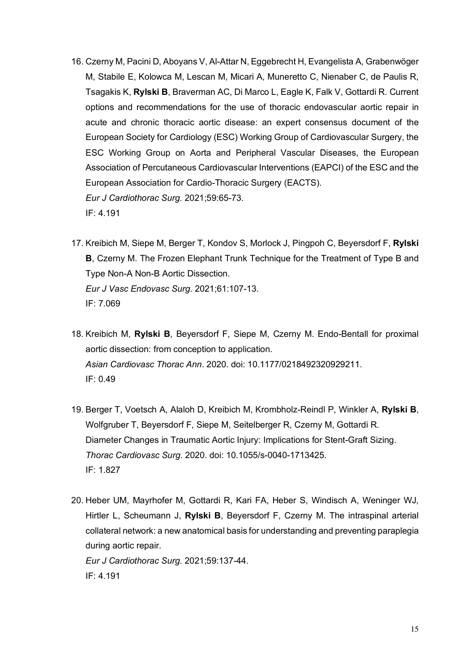- 16. Czerny M, Pacini D, Aboyans V, Al-Attar N, Eggebrecht H, Evangelista A, Grabenwöger M, Stabile E, Kolowca M, Lescan M, Micari A, Muneretto C, Nienaber C, de Paulis R, Tsagakis K, **Rylski B**, Braverman AC, Di Marco L, Eagle K, Falk V, Gottardi R. Current options and recommendations for the use of thoracic endovascular aortic repair in acute and chronic thoracic aortic disease: an expert consensus document of the European Society for Cardiology (ESC) Working Group of Cardiovascular Surgery, the ESC Working Group on Aorta and Peripheral Vascular Diseases, the European Association of Percutaneous Cardiovascular Interventions (EAPCI) of the ESC and the European Association for Cardio-Thoracic Surgery (EACTS). *Eur J Cardiothorac Surg.* 2021;59:65-73. IF: 4.191
- 17. Kreibich M, Siepe M, Berger T, Kondov S, Morlock J, Pingpoh C, Beyersdorf F, **Rylski B**, Czerny M. The Frozen Elephant Trunk Technique for the Treatment of Type B and Type Non-A Non-B Aortic Dissection. *Eur J Vasc Endovasc Surg*. 2021;61:107-13. IF: 7.069
- 18. Kreibich M, **Rylski B**, Beyersdorf F, Siepe M, Czerny M. Endo-Bentall for proximal aortic dissection: from conception to application. *Asian Cardiovasc Thorac Ann*. 2020. doi: 10.1177/0218492320929211. IF: 0.49
- 19. Berger T, Voetsch A, Alaloh D, Kreibich M, Krombholz-Reindl P, Winkler A, **Rylski B**, Wolfgruber T, Beyersdorf F, Siepe M, Seitelberger R, Czerny M, Gottardi R. Diameter Changes in Traumatic Aortic Injury: Implications for Stent-Graft Sizing. *Thorac Cardiovasc Surg.* 2020. doi: 10.1055/s-0040-1713425. IF: 1.827
- 20. Heber UM, Mayrhofer M, Gottardi R, Kari FA, Heber S, Windisch A, Weninger WJ, Hirtler L, Scheumann J, **Rylski B**, Beyersdorf F, Czerny M. The intraspinal arterial collateral network: a new anatomical basis for understanding and preventing paraplegia during aortic repair. *Eur J Cardiothorac Surg.* 2021;59:137-44. IF: 4.191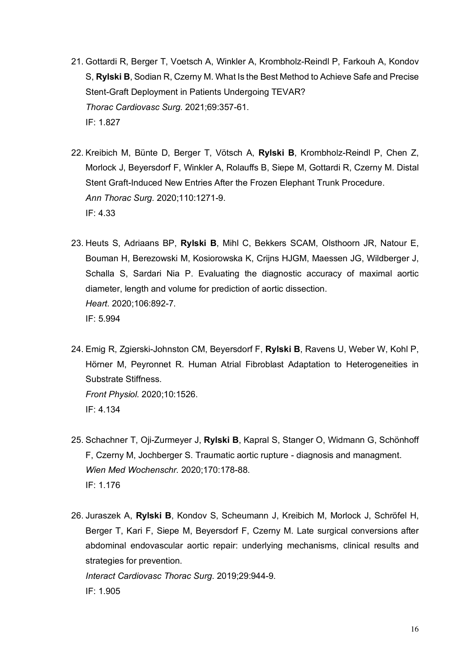- 21. Gottardi R, Berger T, Voetsch A, Winkler A, Krombholz-Reindl P, Farkouh A, Kondov S, **Rylski B**, Sodian R, Czerny M. What Is the Best Method to Achieve Safe and Precise Stent-Graft Deployment in Patients Undergoing TEVAR? *Thorac Cardiovasc Surg.* 2021;69:357-61. IF: 1.827
- 22. Kreibich M, Bünte D, Berger T, Vötsch A, **Rylski B**, Krombholz-Reindl P, Chen Z, Morlock J, Beyersdorf F, Winkler A, Rolauffs B, Siepe M, Gottardi R, Czerny M. Distal Stent Graft-Induced New Entries After the Frozen Elephant Trunk Procedure. *Ann Thorac Surg.* 2020;110:1271-9. IF: 4.33
- 23. Heuts S, Adriaans BP, **Rylski B**, Mihl C, Bekkers SCAM, Olsthoorn JR, Natour E, Bouman H, Berezowski M, Kosiorowska K, Crijns HJGM, Maessen JG, Wildberger J, Schalla S, Sardari Nia P. Evaluating the diagnostic accuracy of maximal aortic diameter, length and volume for prediction of aortic dissection. *Heart.* 2020;106:892-7. IF: 5.994
- 24. Emig R, Zgierski-Johnston CM, Beyersdorf F, **Rylski B**, Ravens U, Weber W, Kohl P, Hörner M, Peyronnet R. Human Atrial Fibroblast Adaptation to Heterogeneities in Substrate Stiffness. *Front Physiol.* 2020;10:1526. IF: 4.134
- 25. Schachner T, Oji-Zurmeyer J, **Rylski B**, Kapral S, Stanger O, Widmann G, Schönhoff F, Czerny M, Jochberger S. Traumatic aortic rupture - diagnosis and managment. *Wien Med Wochenschr.* 2020;170:178-88. IF: 1.176
- 26. Juraszek A, **Rylski B**, Kondov S, Scheumann J, Kreibich M, Morlock J, Schröfel H, Berger T, Kari F, Siepe M, Beyersdorf F, Czerny M. Late surgical conversions after abdominal endovascular aortic repair: underlying mechanisms, clinical results and strategies for prevention. *Interact Cardiovasc Thorac Surg*. 2019;29:944-9.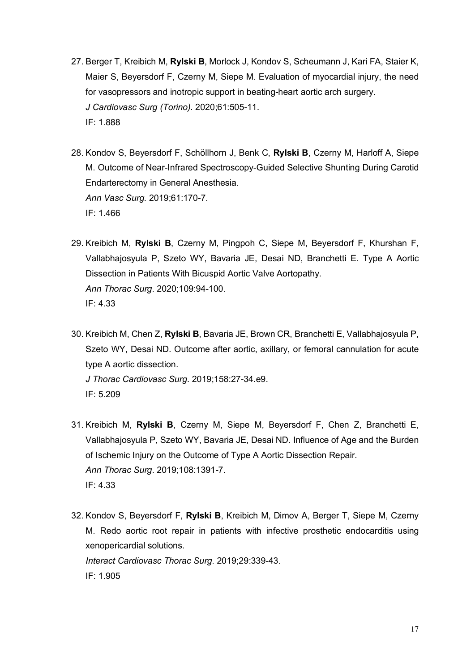- 27. Berger T, Kreibich M, **Rylski B**, Morlock J, Kondov S, Scheumann J, Kari FA, Staier K, Maier S, Beyersdorf F, Czerny M, Siepe M. Evaluation of myocardial injury, the need for vasopressors and inotropic support in beating-heart aortic arch surgery. *J Cardiovasc Surg (Torino).* 2020;61:505-11. IF: 1.888
- 28. Kondov S, Beyersdorf F, Schöllhorn J, Benk C, **Rylski B**, Czerny M, Harloff A, Siepe M. Outcome of Near-Infrared Spectroscopy-Guided Selective Shunting During Carotid Endarterectomy in General Anesthesia. *Ann Vasc Surg.* 2019;61:170-7. IF: 1.466
- 29. Kreibich M, **Rylski B**, Czerny M, Pingpoh C, Siepe M, Beyersdorf F, Khurshan F, Vallabhajosyula P, Szeto WY, Bavaria JE, Desai ND, Branchetti E. Type A Aortic Dissection in Patients With Bicuspid Aortic Valve Aortopathy. *Ann Thorac Surg*. 2020;109:94-100. IF: 4.33
- 30. Kreibich M, Chen Z, **Rylski B**, Bavaria JE, Brown CR, Branchetti E, Vallabhajosyula P, Szeto WY, Desai ND. Outcome after aortic, axillary, or femoral cannulation for acute type A aortic dissection. *J Thorac Cardiovasc Surg*. 2019;158:27-34.e9. IF: 5.209
- 31. Kreibich M, **Rylski B**, Czerny M, Siepe M, Beyersdorf F, Chen Z, Branchetti E, Vallabhajosyula P, Szeto WY, Bavaria JE, Desai ND. Influence of Age and the Burden of Ischemic Injury on the Outcome of Type A Aortic Dissection Repair. *Ann Thorac Surg*. 2019;108:1391-7. IF: 4.33
- 32. Kondov S, Beyersdorf F, **Rylski B**, Kreibich M, Dimov A, Berger T, Siepe M, Czerny M. Redo aortic root repair in patients with infective prosthetic endocarditis using xenopericardial solutions. *Interact Cardiovasc Thorac Surg*. 2019;29:339-43. IF: 1.905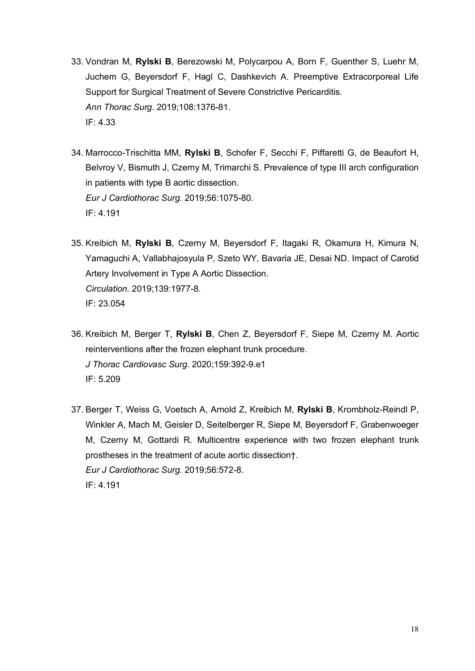- 33. Vondran M, **Rylski B**, Berezowski M, Polycarpou A, Born F, Guenther S, Luehr M, Juchem G, Beyersdorf F, Hagl C, Dashkevich A. Preemptive Extracorporeal Life Support for Surgical Treatment of Severe Constrictive Pericarditis. *Ann Thorac Surg*. 2019;108:1376-81. IF: 4.33
- 34. Marrocco-Trischitta MM, **Rylski B**, Schofer F, Secchi F, Piffaretti G, de Beaufort H, Belvroy V, Bismuth J, Czerny M, Trimarchi S. Prevalence of type III arch configuration in patients with type B aortic dissection. *Eur J Cardiothorac Surg.* 2019;56:1075-80. IF: 4.191
- 35. Kreibich M, **Rylski B**, Czerny M, Beyersdorf F, Itagaki R, Okamura H, Kimura N, Yamaguchi A, Vallabhajosyula P, Szeto WY, Bavaria JE, Desai ND. Impact of Carotid Artery Involvement in Type A Aortic Dissection. *Circulation.* 2019;139:1977-8. IF: 23.054
- 36. Kreibich M, Berger T, **Rylski B**, Chen Z, Beyersdorf F, Siepe M, Czerny M. Aortic reinterventions after the frozen elephant trunk procedure. *J Thorac Cardiovasc Surg*. 2020;159:392-9.e1 IF: 5.209
- 37. Berger T, Weiss G, Voetsch A, Arnold Z, Kreibich M, **Rylski B**, Krombholz-Reindl P, Winkler A, Mach M, Geisler D, Seitelberger R, Siepe M, Beyersdorf F, Grabenwoeger M, Czerny M, Gottardi R. Multicentre experience with two frozen elephant trunk prostheses in the treatment of acute aortic dissection†. *Eur J Cardiothorac Surg.* 2019;56:572-8. IF: 4.191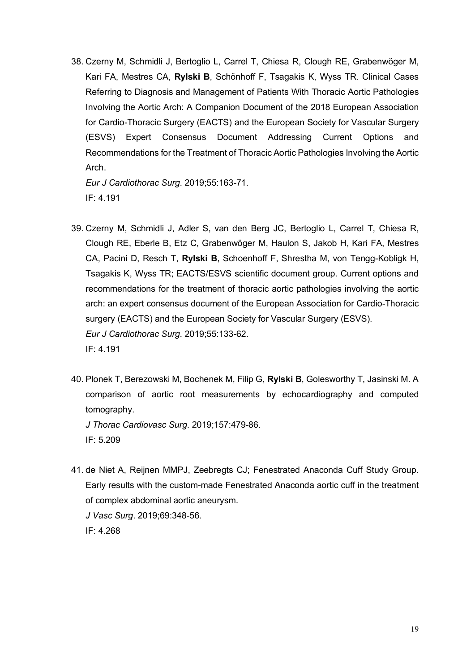38. Czerny M, Schmidli J, Bertoglio L, Carrel T, Chiesa R, Clough RE, Grabenwöger M, Kari FA, Mestres CA, **Rylski B**, Schönhoff F, Tsagakis K, Wyss TR. Clinical Cases Referring to Diagnosis and Management of Patients With Thoracic Aortic Pathologies Involving the Aortic Arch: A Companion Document of the 2018 European Association for Cardio-Thoracic Surgery (EACTS) and the European Society for Vascular Surgery (ESVS) Expert Consensus Document Addressing Current Options and Recommendations for the Treatment of Thoracic Aortic Pathologies Involving the Aortic Arch.

*Eur J Cardiothorac Surg*. 2019;55:163-71. IF: 4.191

- 39. Czerny M, Schmidli J, Adler S, van den Berg JC, Bertoglio L, Carrel T, Chiesa R, Clough RE, Eberle B, Etz C, Grabenwöger M, Haulon S, Jakob H, Kari FA, Mestres CA, Pacini D, Resch T, **Rylski B**, Schoenhoff F, Shrestha M, von Tengg-Kobligk H, Tsagakis K, Wyss TR; EACTS/ESVS scientific document group. Current options and recommendations for the treatment of thoracic aortic pathologies involving the aortic arch: an expert consensus document of the European Association for Cardio-Thoracic surgery (EACTS) and the European Society for Vascular Surgery (ESVS). *Eur J Cardiothorac Surg*. 2019;55:133-62. IF: 4.191
- 40. Plonek T, Berezowski M, Bochenek M, Filip G, **Rylski B**, Golesworthy T, Jasinski M. A comparison of aortic root measurements by echocardiography and computed tomography.

*J Thorac Cardiovasc Surg*. 2019;157:479-86. IF: 5.209

41. de Niet A, Reijnen MMPJ, Zeebregts CJ; Fenestrated Anaconda Cuff Study Group. Early results with the custom-made Fenestrated Anaconda aortic cuff in the treatment of complex abdominal aortic aneurysm. *J Vasc Surg*. 2019;69:348-56. IF: 4.268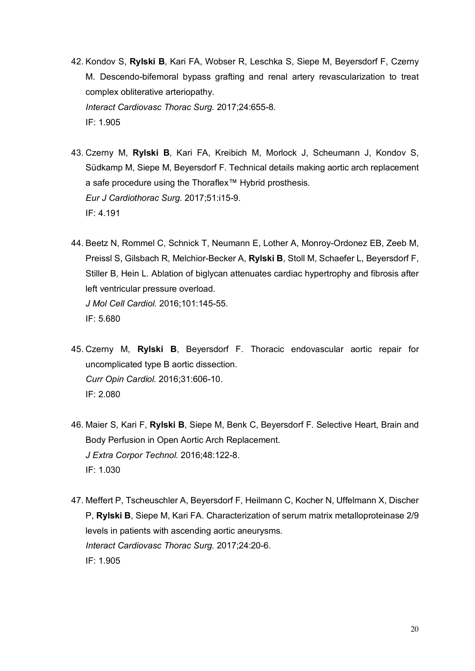- 42. Kondov S, **Rylski B**, Kari FA, Wobser R, Leschka S, Siepe M, Beyersdorf F, Czerny M. Descendo-bifemoral bypass grafting and renal artery revascularization to treat complex obliterative arteriopathy. *Interact Cardiovasc Thorac Surg.* 2017;24:655-8. IF: 1.905
- 43. Czerny M, **Rylski B**, Kari FA, Kreibich M, Morlock J, Scheumann J, Kondov S, Südkamp M, Siepe M, Beyersdorf F. Technical details making aortic arch replacement a safe procedure using the Thoraflex™ Hybrid prosthesis. *Eur J Cardiothorac Surg.* 2017;51:i15-9. IF: 4.191
- 44. Beetz N, Rommel C, Schnick T, Neumann E, Lother A, Monroy-Ordonez EB, Zeeb M, Preissl S, Gilsbach R, Melchior-Becker A, **Rylski B**, Stoll M, Schaefer L, Beyersdorf F, Stiller B, Hein L. Ablation of biglycan attenuates cardiac hypertrophy and fibrosis after left ventricular pressure overload. *J Mol Cell Cardiol.* 2016;101:145-55. IF: 5.680
- 45. Czerny M, **Rylski B**, Beyersdorf F. Thoracic endovascular aortic repair for uncomplicated type B aortic dissection. *Curr Opin Cardiol.* 2016;31:606-10. IF: 2.080
- 46. Maier S, Kari F, **Rylski B**, Siepe M, Benk C, Beyersdorf F. Selective Heart, Brain and Body Perfusion in Open Aortic Arch Replacement. *J Extra Corpor Technol.* 2016;48:122-8. IF: 1.030
- 47. Meffert P, Tscheuschler A, Beyersdorf F, Heilmann C, Kocher N, Uffelmann X, Discher P, **Rylski B**, Siepe M, Kari FA. Characterization of serum matrix metalloproteinase 2/9 levels in patients with ascending aortic aneurysms. *Interact Cardiovasc Thorac Surg.* 2017;24:20-6. IF: 1.905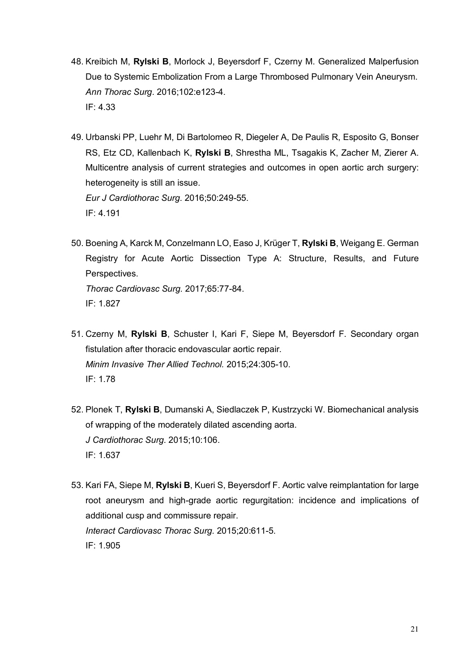- 48. Kreibich M, **Rylski B**, Morlock J, Beyersdorf F, Czerny M. Generalized Malperfusion Due to Systemic Embolization From a Large Thrombosed Pulmonary Vein Aneurysm. *Ann Thorac Surg*. 2016;102:e123-4. IF: 4.33
- 49. Urbanski PP, Luehr M, Di Bartolomeo R, Diegeler A, De Paulis R, Esposito G, Bonser RS, Etz CD, Kallenbach K, **Rylski B**, Shrestha ML, Tsagakis K, Zacher M, Zierer A. Multicentre analysis of current strategies and outcomes in open aortic arch surgery: heterogeneity is still an issue. *Eur J Cardiothorac Surg*. 2016;50:249-55. IF: 4.191
- 50. Boening A, Karck M, Conzelmann LO, Easo J, Krüger T, **Rylski B**, Weigang E. German Registry for Acute Aortic Dissection Type A: Structure, Results, and Future Perspectives. *Thorac Cardiovasc Surg.* 2017;65:77-84. IF: 1.827
- 51. Czerny M, **Rylski B**, Schuster I, Kari F, Siepe M, Beyersdorf F. Secondary organ fistulation after thoracic endovascular aortic repair. *Minim Invasive Ther Allied Technol.* 2015;24:305-10. IF: 1.78
- 52. Plonek T, **Rylski B**, Dumanski A, Siedlaczek P, Kustrzycki W. Biomechanical analysis of wrapping of the moderately dilated ascending aorta. *J Cardiothorac Surg*. 2015;10:106. IF: 1.637
- 53. Kari FA, Siepe M, **Rylski B**, Kueri S, Beyersdorf F. Aortic valve reimplantation for large root aneurysm and high-grade aortic regurgitation: incidence and implications of additional cusp and commissure repair. *Interact Cardiovasc Thorac Surg*. 2015;20:611-5. IF: 1.905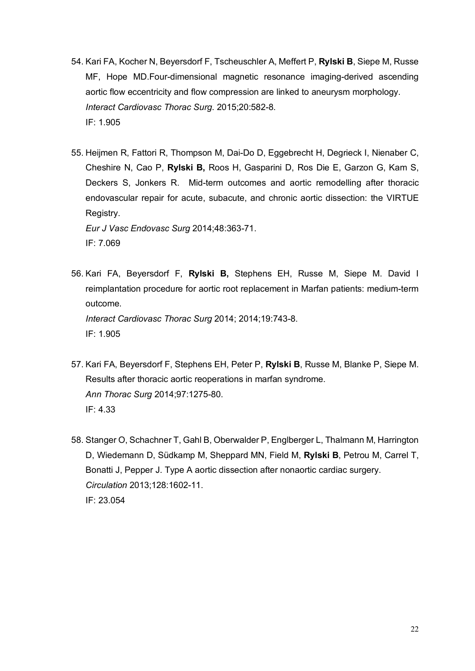- 54. Kari FA, Kocher N, Beyersdorf F, Tscheuschler A, Meffert P, **Rylski B**, Siepe M, Russe MF, Hope MD.Four-dimensional magnetic resonance imaging-derived ascending aortic flow eccentricity and flow compression are linked to aneurysm morphology. *Interact Cardiovasc Thorac Surg*. 2015;20:582-8. IF: 1.905
- 55. Heijmen R, Fattori R, Thompson M, Dai-Do D, Eggebrecht H, Degrieck I, Nienaber C, Cheshire N, Cao P, **Rylski B,** Roos H, Gasparini D, Ros Die E, Garzon G, Kam S, Deckers S, Jonkers R. Mid-term outcomes and aortic remodelling after thoracic endovascular repair for acute, subacute, and chronic aortic dissection: the VIRTUE Registry.

*Eur J Vasc Endovasc Surg* 2014;48:363-71. IF: 7.069

- 56. Kari FA, Beyersdorf F, **Rylski B,** Stephens EH, Russe M, Siepe M. David I reimplantation procedure for aortic root replacement in Marfan patients: medium-term outcome. *Interact Cardiovasc Thorac Surg* 2014; 2014;19:743-8. IF: 1.905
- 57. Kari FA, Beyersdorf F, Stephens EH, Peter P, **Rylski B**, Russe M, Blanke P, Siepe M. Results after thoracic aortic reoperations in marfan syndrome. *Ann Thorac Surg* 2014;97:1275-80. IF: 4.33
- 58. Stanger O, Schachner T, Gahl B, Oberwalder P, Englberger L, Thalmann M, Harrington D, Wiedemann D, Südkamp M, Sheppard MN, Field M, **Rylski B**, Petrou M, Carrel T, Bonatti J, Pepper J. Type A aortic dissection after nonaortic cardiac surgery. *Circulation* 2013;128:1602-11. IF: 23.054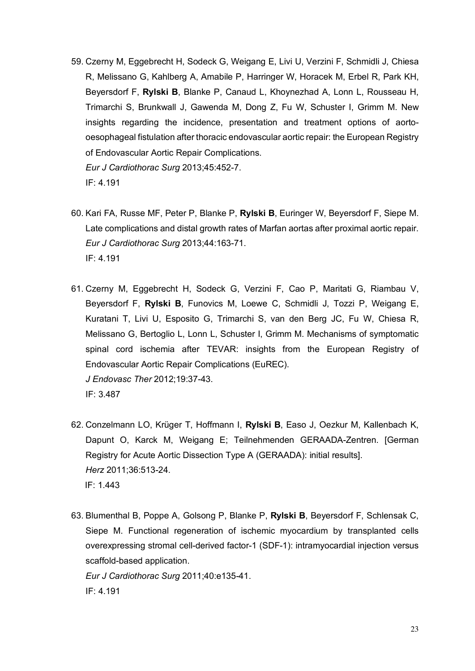59. Czerny M, Eggebrecht H, Sodeck G, Weigang E, Livi U, Verzini F, Schmidli J, Chiesa R, Melissano G, Kahlberg A, Amabile P, Harringer W, Horacek M, Erbel R, Park KH, Beyersdorf F, **Rylski B**, Blanke P, Canaud L, Khoynezhad A, Lonn L, Rousseau H, Trimarchi S, Brunkwall J, Gawenda M, Dong Z, Fu W, Schuster I, Grimm M. New insights regarding the incidence, presentation and treatment options of aortooesophageal fistulation after thoracic endovascular aortic repair: the European Registry of Endovascular Aortic Repair Complications. *Eur J Cardiothorac Surg* 2013;45:452-7.

IF: 4.191

- 60. Kari FA, Russe MF, Peter P, Blanke P, **Rylski B**, Euringer W, Beyersdorf F, Siepe M. Late complications and distal growth rates of Marfan aortas after proximal aortic repair. *Eur J Cardiothorac Surg* 2013;44:163-71. IF: 4.191
- 61. Czerny M, Eggebrecht H, Sodeck G, Verzini F, Cao P, Maritati G, Riambau V, Beyersdorf F, **Rylski B**, Funovics M, Loewe C, Schmidli J, Tozzi P, Weigang E, Kuratani T, Livi U, Esposito G, Trimarchi S, van den Berg JC, Fu W, Chiesa R, Melissano G, Bertoglio L, Lonn L, Schuster I, Grimm M. Mechanisms of symptomatic spinal cord ischemia after TEVAR: insights from the European Registry of Endovascular Aortic Repair Complications (EuREC). *J Endovasc Ther* 2012;19:37-43. IF: 3.487
- 62. Conzelmann LO, Krüger T, Hoffmann I, **Rylski B**, Easo J, Oezkur M, Kallenbach K, Dapunt O, Karck M, Weigang E; Teilnehmenden GERAADA-Zentren. [German Registry for Acute Aortic Dissection Type A (GERAADA): initial results]. *Herz* 2011;36:513-24. IF: 1.443
- 63. Blumenthal B, Poppe A, Golsong P, Blanke P, **Rylski B**, Beyersdorf F, Schlensak C, Siepe M. Functional regeneration of ischemic myocardium by transplanted cells overexpressing stromal cell-derived factor-1 (SDF-1): intramyocardial injection versus scaffold-based application.

*Eur J Cardiothorac Surg* 2011;40:e135-41. IF: 4.191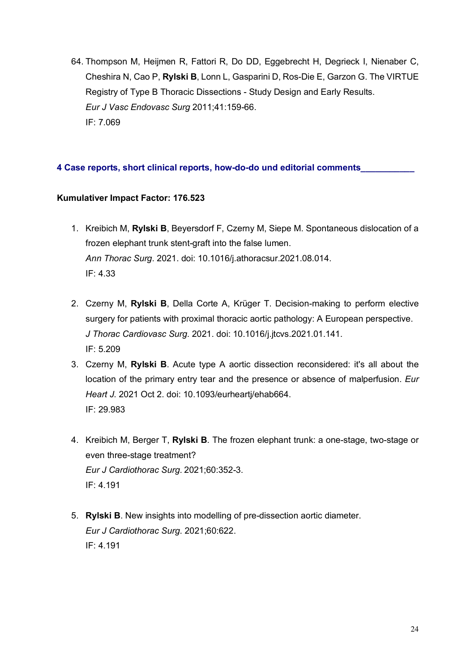64. Thompson M, Heijmen R, Fattori R, Do DD, Eggebrecht H, Degrieck I, Nienaber C, Cheshira N, Cao P, **Rylski B**, Lonn L, Gasparini D, Ros-Die E, Garzon G. The VIRTUE Registry of Type B Thoracic Dissections - Study Design and Early Results. *Eur J Vasc Endovasc Surg* 2011;41:159-66. IF: 7.069

# **4 Case reports, short clinical reports, how-do-do und editorial comments\_\_\_\_\_\_\_\_\_\_\_**

# **Kumulativer Impact Factor: 176.523**

- 1. Kreibich M, **Rylski B**, Beyersdorf F, Czerny M, Siepe M. Spontaneous dislocation of a frozen elephant trunk stent-graft into the false lumen. *Ann Thorac Surg*. 2021. doi: 10.1016/j.athoracsur.2021.08.014. IF: 4.33
- 2. Czerny M, **Rylski B**, Della Corte A, Krüger T. Decision-making to perform elective surgery for patients with proximal thoracic aortic pathology: A European perspective. *J Thorac Cardiovasc Surg*. 2021. doi: 10.1016/j.jtcvs.2021.01.141. IF: 5.209
- 3. Czerny M, **Rylski B**. Acute type A aortic dissection reconsidered: it's all about the location of the primary entry tear and the presence or absence of malperfusion. *Eur Heart J*. 2021 Oct 2. doi: 10.1093/eurheartj/ehab664. IF: 29.983
- 4. Kreibich M, Berger T, **Rylski B**. The frozen elephant trunk: a one-stage, two-stage or even three-stage treatment? *Eur J Cardiothorac Surg*. 2021;60:352-3. IF: 4.191
- 5. **Rylski B**. New insights into modelling of pre-dissection aortic diameter. *Eur J Cardiothorac Surg*. 2021;60:622. IF: 4.191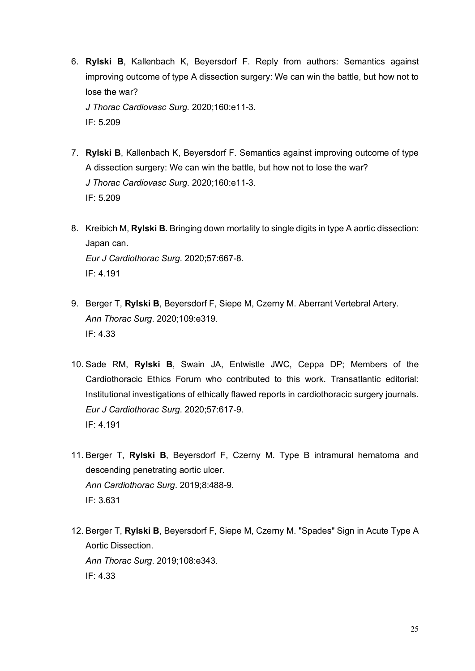6. **Rylski B**, Kallenbach K, Beyersdorf F. Reply from authors: Semantics against improving outcome of type A dissection surgery: We can win the battle, but how not to lose the war? *J Thorac Cardiovasc Surg.* 2020;160:e11-3.

IF: 5.209

- 7. **Rylski B**, Kallenbach K, Beyersdorf F. Semantics against improving outcome of type A dissection surgery: We can win the battle, but how not to lose the war? *J Thorac Cardiovasc Surg*. 2020;160:e11-3. IF: 5.209
- 8. Kreibich M, **Rylski B.** Bringing down mortality to single digits in type A aortic dissection: Japan can. *Eur J Cardiothorac Surg*. 2020;57:667-8. IF: 4.191
- 9. Berger T, **Rylski B**, Beyersdorf F, Siepe M, Czerny M. Aberrant Vertebral Artery. *Ann Thorac Surg*. 2020;109:e319. IF: 4.33
- 10. Sade RM, **Rylski B**, Swain JA, Entwistle JWC, Ceppa DP; Members of the Cardiothoracic Ethics Forum who contributed to this work. Transatlantic editorial: Institutional investigations of ethically flawed reports in cardiothoracic surgery journals. *Eur J Cardiothorac Surg*. 2020;57:617-9. IF: 4.191
- 11. Berger T, **Rylski B**, Beyersdorf F, Czerny M. Type B intramural hematoma and descending penetrating aortic ulcer. *Ann Cardiothorac Surg*. 2019;8:488-9. IF: 3.631
- 12. Berger T, **Rylski B**, Beyersdorf F, Siepe M, Czerny M. "Spades" Sign in Acute Type A Aortic Dissection. *Ann Thorac Surg*. 2019;108:e343. IF: 4.33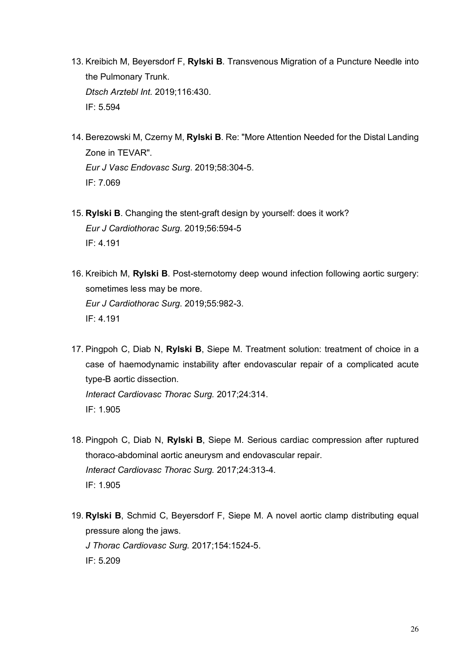- 13. Kreibich M, Beyersdorf F, **Rylski B**. Transvenous Migration of a Puncture Needle into the Pulmonary Trunk. *Dtsch Arztebl Int.* 2019;116:430. IF: 5.594
- 14. Berezowski M, Czerny M, **Rylski B**. Re: "More Attention Needed for the Distal Landing Zone in TEVAR". *Eur J Vasc Endovasc Surg*. 2019;58:304-5. IF: 7.069
- 15. **Rylski B**. Changing the stent-graft design by yourself: does it work? *Eur J Cardiothorac Surg*. 2019;56:594-5 IF: 4.191
- 16. Kreibich M, **Rylski B**. Post-sternotomy deep wound infection following aortic surgery: sometimes less may be more. *Eur J Cardiothorac Surg*. 2019;55:982-3. IF: 4.191
- 17. Pingpoh C, Diab N, **Rylski B**, Siepe M. Treatment solution: treatment of choice in a case of haemodynamic instability after endovascular repair of a complicated acute type-B aortic dissection. *Interact Cardiovasc Thorac Surg.* 2017;24:314. IF: 1.905
- 18. Pingpoh C, Diab N, **Rylski B**, Siepe M. Serious cardiac compression after ruptured thoraco-abdominal aortic aneurysm and endovascular repair. *Interact Cardiovasc Thorac Surg.* 2017;24:313-4. IF: 1.905
- 19. **Rylski B**, Schmid C, Beyersdorf F, Siepe M. A novel aortic clamp distributing equal pressure along the jaws. *J Thorac Cardiovasc Surg.* 2017;154:1524-5. IF: 5.209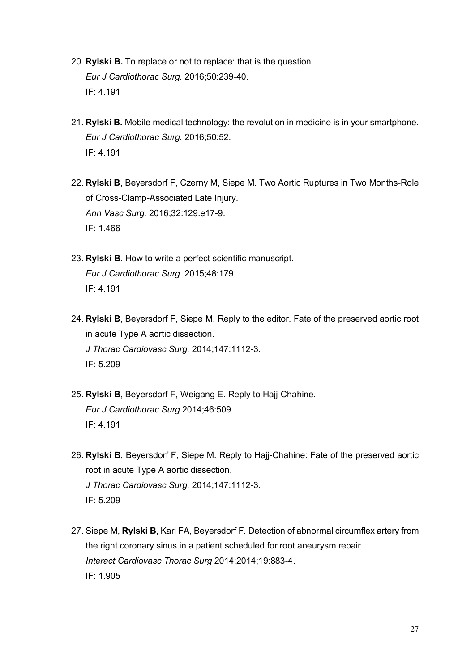- 20. **Rylski B.** To replace or not to replace: that is the question. *Eur J Cardiothorac Surg.* 2016;50:239-40. IF: 4.191
- 21. **Rylski B.** Mobile medical technology: the revolution in medicine is in your smartphone. *Eur J Cardiothorac Surg.* 2016;50:52. IF: 4.191
- 22. **Rylski B**, Beyersdorf F, Czerny M, Siepe M. Two Aortic Ruptures in Two Months-Role of Cross-Clamp-Associated Late Injury. *Ann Vasc Surg.* 2016;32:129.e17-9. IF: 1.466
- 23. **Rylski B**. How to write a perfect scientific manuscript. *Eur J Cardiothorac Surg*. 2015;48:179. IF: 4.191
- 24. **Rylski B**, Beyersdorf F, Siepe M. Reply to the editor. Fate of the preserved aortic root in acute Type A aortic dissection. *J Thorac Cardiovasc Surg.* 2014;147:1112-3. IF: 5.209
- 25. **Rylski B**, Beyersdorf F, Weigang E. Reply to Hajj-Chahine. *Eur J Cardiothorac Surg* 2014;46:509. IF: 4.191
- 26. **Rylski B**, Beyersdorf F, Siepe M. Reply to Hajj-Chahine: Fate of the preserved aortic root in acute Type A aortic dissection. *J Thorac Cardiovasc Surg.* 2014;147:1112-3. IF: 5.209
- 27. Siepe M, **Rylski B**, Kari FA, Beyersdorf F. Detection of abnormal circumflex artery from the right coronary sinus in a patient scheduled for root aneurysm repair. *Interact Cardiovasc Thorac Surg* 2014;2014;19:883-4. IF: 1.905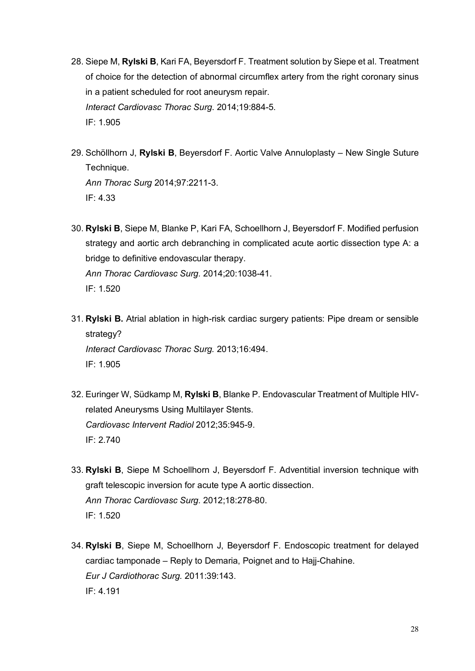- 28. Siepe M, **Rylski B**, Kari FA, Beyersdorf F. Treatment solution by Siepe et al. Treatment of choice for the detection of abnormal circumflex artery from the right coronary sinus in a patient scheduled for root aneurysm repair. *Interact Cardiovasc Thorac Surg*. 2014;19:884-5. IF: 1.905
- 29. Schöllhorn J, **Rylski B**, Beyersdorf F. Aortic Valve Annuloplasty New Single Suture Technique. *Ann Thorac Surg* 2014;97:2211-3. IF: 4.33
- 30. **Rylski B**, Siepe M, Blanke P, Kari FA, Schoellhorn J, Beyersdorf F. Modified perfusion strategy and aortic arch debranching in complicated acute aortic dissection type A: a bridge to definitive endovascular therapy. *Ann Thorac Cardiovasc Surg.* 2014;20:1038-41. IF: 1.520
- 31. **Rylski B.** Atrial ablation in high-risk cardiac surgery patients: Pipe dream or sensible strategy? *Interact Cardiovasc Thorac Surg.* 2013;16:494. IF: 1.905
- 32. Euringer W, Südkamp M, **Rylski B**, Blanke P. Endovascular Treatment of Multiple HIVrelated Aneurysms Using Multilayer Stents. *Cardiovasc Intervent Radiol* 2012;35:945-9. IF: 2.740
- 33. **Rylski B**, Siepe M Schoellhorn J, Beyersdorf F. Adventitial inversion technique with graft telescopic inversion for acute type A aortic dissection. *Ann Thorac Cardiovasc Surg.* 2012;18:278-80. IF: 1.520
- 34. **Rylski B**, Siepe M, Schoellhorn J, Beyersdorf F. Endoscopic treatment for delayed cardiac tamponade – Reply to Demaria, Poignet and to Hajj-Chahine. *Eur J Cardiothorac Surg.* 2011:39:143. IF: 4.191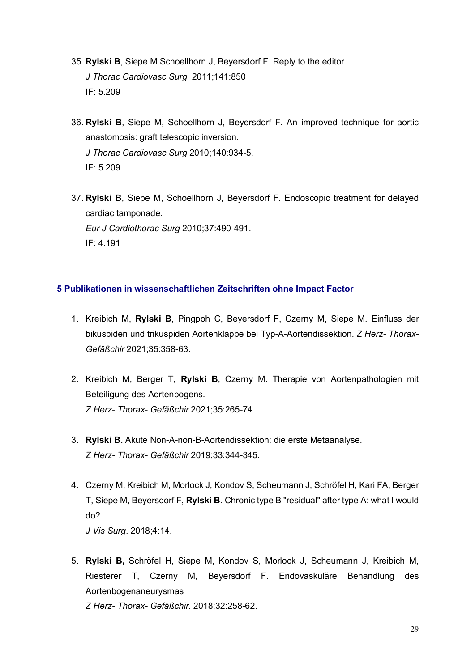- 35. **Rylski B**, Siepe M Schoellhorn J, Beyersdorf F. Reply to the editor. *J Thorac Cardiovasc Surg.* 2011;141:850 IF: 5.209
- 36. **Rylski B**, Siepe M, Schoellhorn J, Beyersdorf F. An improved technique for aortic anastomosis: graft telescopic inversion. *J Thorac Cardiovasc Surg* 2010;140:934-5. IF: 5.209
- 37. **Rylski B**, Siepe M, Schoellhorn J, Beyersdorf F. Endoscopic treatment for delayed cardiac tamponade. *Eur J Cardiothorac Surg* 2010;37:490-491. IF: 4.191

# **5 Publikationen in wissenschaftlichen Zeitschriften ohne Impact Factor \_\_\_\_\_\_\_\_\_\_\_\_**

- 1. Kreibich M, **Rylski B**, Pingpoh C, Beyersdorf F, Czerny M, Siepe M. Einfluss der bikuspiden und trikuspiden Aortenklappe bei Typ-A-Aortendissektion. *Z Herz- Thorax-Gefäßchir* 2021;35:358-63.
- 2. Kreibich M, Berger T, **Rylski B**, Czerny M. Therapie von Aortenpathologien mit Beteiligung des Aortenbogens. *Z Herz- Thorax- Gefäßchir* 2021;35:265-74.
- 3. **Rylski B.** Akute Non-A-non-B-Aortendissektion: die erste Metaanalyse. *Z Herz- Thorax- Gefäßchir* 2019;33:344-345.
- 4. Czerny M, Kreibich M, Morlock J, Kondov S, Scheumann J, Schröfel H, Kari FA, Berger T, Siepe M, Beyersdorf F, **Rylski B**. Chronic type B "residual" after type A: what I would do? *J Vis Surg*. 2018;4:14.
- 5. **Rylski B,** Schröfel H, Siepe M, Kondov S, Morlock J, Scheumann J, Kreibich M, Riesterer T, Czerny M, Beyersdorf F. Endovaskuläre Behandlung des Aortenbogenaneurysmas

*Z Herz- Thorax- Gefäßchir.* 2018;32:258-62.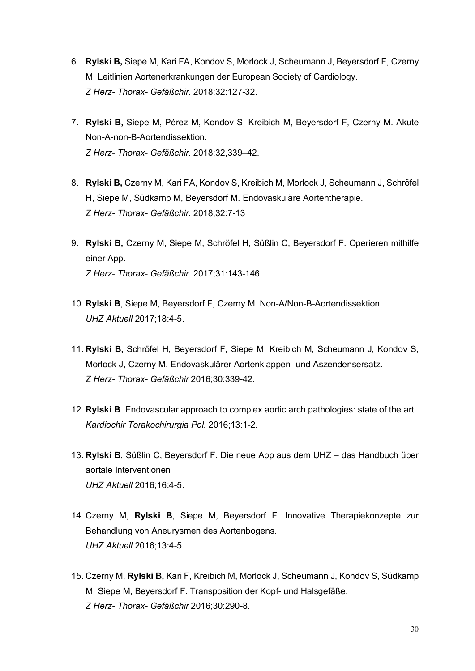- 6. **Rylski B,** Siepe M, Kari FA, Kondov S, Morlock J, Scheumann J, Beyersdorf F, Czerny M. Leitlinien Aortenerkrankungen der European Society of Cardiology. *Z Herz- Thorax- Gefäßchir.* 2018:32:127-32.
- 7. **Rylski B,** Siepe M, Pérez M, Kondov S, Kreibich M, Beyersdorf F, Czerny M. Akute Non-A-non-B-Aortendissektion. *Z Herz- Thorax- Gefäßchir.* 2018:32,339–42.
- 8. **Rylski B,** Czerny M, Kari FA, Kondov S, Kreibich M, Morlock J, Scheumann J, Schröfel H, Siepe M, Südkamp M, Beyersdorf M. Endovaskuläre Aortentherapie. *Z Herz- Thorax- Gefäßchir.* 2018;32:7-13
- 9. **Rylski B,** Czerny M, Siepe M, Schröfel H, Süßlin C, Beyersdorf F. Operieren mithilfe einer App. *Z Herz- Thorax- Gefäßchir.* 2017;31:143-146.
- 10. **Rylski B**, Siepe M, Beyersdorf F, Czerny M. Non-A/Non-B-Aortendissektion. *UHZ Aktuell* 2017;18:4-5.
- 11. **Rylski B,** Schröfel H, Beyersdorf F, Siepe M, Kreibich M, Scheumann J, Kondov S, Morlock J, Czerny M. Endovaskulärer Aortenklappen- und Aszendensersatz. *Z Herz- Thorax- Gefäßchir* 2016;30:339-42.
- 12. **Rylski B**. Endovascular approach to complex aortic arch pathologies: state of the art. *Kardiochir Torakochirurgia Pol.* 2016;13:1-2.
- 13. **Rylski B**, Süßlin C, Beyersdorf F. Die neue App aus dem UHZ das Handbuch über aortale Interventionen *UHZ Aktuell* 2016;16:4-5.
- 14. Czerny M, **Rylski B**, Siepe M, Beyersdorf F. Innovative Therapiekonzepte zur Behandlung von Aneurysmen des Aortenbogens. *UHZ Aktuell* 2016;13:4-5.
- 15. Czerny M, **Rylski B,** Kari F, Kreibich M, Morlock J, Scheumann J, Kondov S, Südkamp M, Siepe M, Beyersdorf F. Transposition der Kopf- und Halsgefäße. *Z Herz- Thorax- Gefäßchir* 2016;30:290-8.